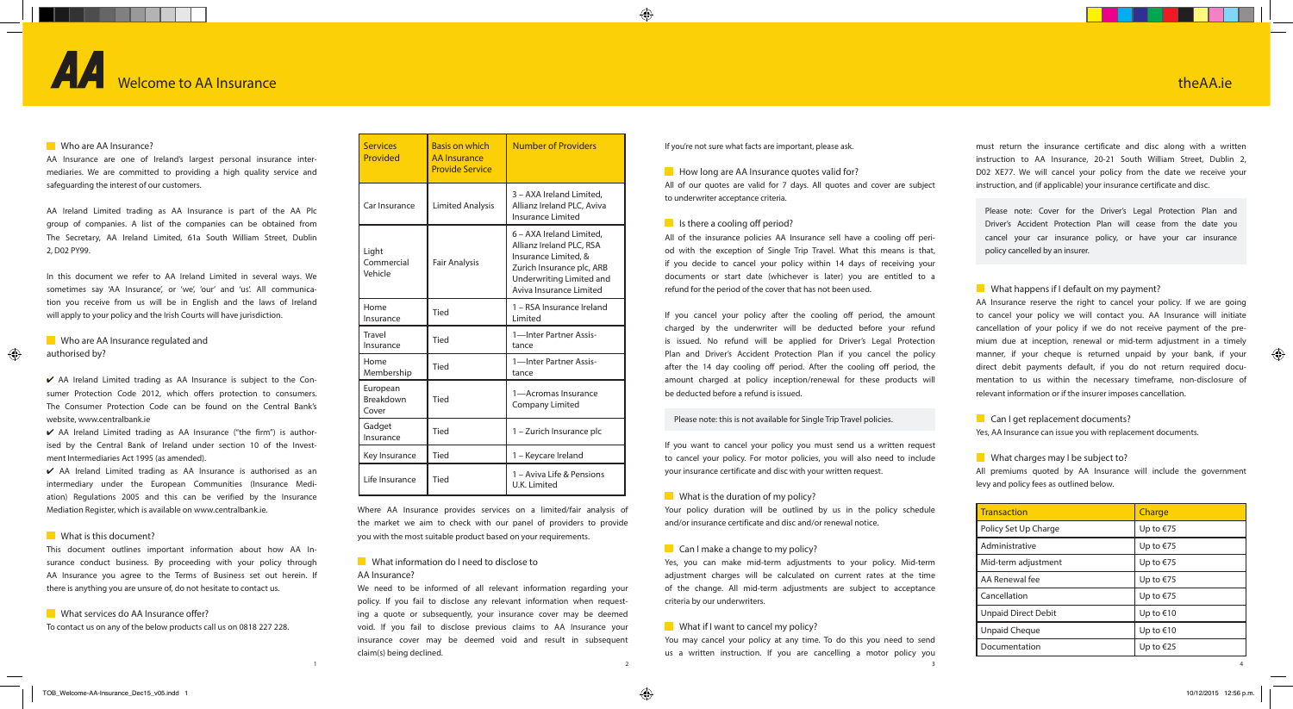# Welcome to AA Insurance

### Who are AA Insurance?

must return the insurance certificate and disc along with a written instruction to AA Insurance, 20-21 South William Street, Dublin 2, D02 XE77. We will cancel your policy from the date we receive your instruction, and (if applicable) your insurance certificate and disc.

Please note: Cover for the Driver's Legal Protection Plan and Driver's Accident Protection Plan will cease from the date you cancel your car insurance policy, or have your car insurance policy cancelled by an insurer.

### What happens if I default on my payment?

## $\blacksquare$  How long are AA Insurance quotes valid for? All of our quotes are valid for 7 days. All quotes and cover are subject to underwriter acceptance criteria.

### $\blacksquare$  Is there a cooling off period?

AA Insurance reserve the right to cancel your policy. If we are going to cancel your policy we will contact you. AA Insurance will initiate cancellation of your policy if we do not receive payment of the premium due at inception, renewal or mid-term adjustment in a timely manner, if your cheque is returned unpaid by your bank, if your direct debit payments default, if you do not return required documentation to us within the necessary timeframe, non-disclosure of relevant information or if the insurer imposes cancellation.

### Can I get replacement documents?

Yes, AA Insurance can issue you with replacement documents.

### What charges may I be subject to?

All premiums quoted by AA Insurance will include the government levy and policy fees as outlined below.

If you're not sure what facts are important, please ask.

You may cancel your policy at any time. To do this you need to send us a written instruction. If you are cancelling a motor policy you 1  $\frac{2}{3}$ 

All of the insurance policies AA Insurance sell have a cooling off period with the exception of Single Trip Travel. What this means is that, if you decide to cancel your policy within 14 days of receiving your documents or start date (whichever is later) you are entitled to a refund for the period of the cover that has not been used.

### **What information do I need to disclose to** AA Insurance?

We need to be informed of all relevant information regarding your policy. If you fail to disclose any relevant information when requesting a quote or subsequently, your insurance cover may be deemed void. If you fail to disclose previous claims to AA Insurance your insurance cover may be deemed void and result in subsequent claim(s) being declined.

If you cancel your policy after the cooling off period, the amount charged by the underwriter will be deducted before your refund is issued. No refund will be applied for Driver's Legal Protection Plan and Driver's Accident Protection Plan if you cancel the policy after the 14 day cooling off period. After the cooling off period, the amount charged at policy inception/renewal for these products will be deducted before a refund is issued.

### Who are AA Insurance regulated and authorised by?

⊕

 $\vee$  AA Ireland Limited trading as AA Insurance is subject to the Consumer Protection Code 2012, which offers protection to consumers. The Consumer Protection Code can be found on the Central Bank's website, www.centralbank.je

### Please note: this is not available for Single Trip Travel policies.

 $\vee$  AA Ireland Limited trading as AA Insurance ("the firm") is authorised by the Central Bank of Ireland under section 10 of the Investment Intermediaries Act 1995 (as amended).

If you want to cancel your policy you must send us a written request to cancel your policy. For motor policies, you will also need to include your insurance certificate and disc with your written request.

### **What is the duration of my policy?**

Your policy duration will be outlined by us in the policy schedule and/or insurance certificate and disc and/or renewal notice.

### $\Box$  Can I make a change to my policy?

Yes, you can make mid-term adjustments to your policy. Mid-term adjustment charges will be calculated on current rates at the time of the change. All mid-term adjustments are subject to acceptance criteria by our underwriters.

### **What if I want to cancel my policy?**

Where AA Insurance provides services on a limited/fair analysis of the market we aim to check with our panel of providers to provide you with the most suitable product based on your requirements.

AA Insurance are one of Ireland's largest personal insurance intermediaries. We are committed to providing a high quality service and safeguarding the interest of our customers.

AA Ireland Limited trading as AA Insurance is part of the AA Plc group of companies. A list of the companies can be obtained from The Secretary, AA Ireland Limited, 61a South William Street, Dublin 2, D02 PY99.

In this document we refer to AA Ireland Limited in several ways. We sometimes say 'AA Insurance', or 'we', 'our' and 'us'. All communication you receive from us will be in English and the laws of Ireland will apply to your policy and the Irish Courts will have jurisdiction.

4 AA Ireland Limited trading as AA Insurance is authorised as an intermediary under the European Communities (Insurance Mediation) Regulations 2005 and this can be verified by the Insurance Mediation Register, which is available on www.centralbank.ie.

### What is this document?

This document outlines important information about how AA Insurance conduct business. By proceeding with your policy through AA Insurance you agree to the Terms of Business set out herein. If there is anything you are unsure of, do not hesitate to contact us.

### What services do AA Insurance offer?

To contact us on any of the below products call us on 0818 227 228.

| <b>Services</b><br>Provided           | <b>Basis on which</b><br><b>AA</b> Insurance<br><b>Provide Service</b> | <b>Number of Providers</b>                                                                                                                                       |
|---------------------------------------|------------------------------------------------------------------------|------------------------------------------------------------------------------------------------------------------------------------------------------------------|
| Car Insurance                         | <b>Limited Analysis</b>                                                | 3 - AXA Ireland Limited,<br>Allianz Ireland PLC, Aviva<br>Insurance Limited                                                                                      |
| Light<br>Commercial<br>Vehicle        | <b>Fair Analysis</b>                                                   | 6 – AXA Ireland Limited,<br>Allianz Ireland PLC, RSA<br>Insurance Limited, &<br>Zurich Insurance plc, ARB<br>Underwriting Limited and<br>Aviva Insurance Limited |
| Home<br>Insurance                     | Tied                                                                   | 1 - RSA Insurance Ireland<br>Limited                                                                                                                             |
| Travel<br>Insurance                   | Tied                                                                   | 1-Inter Partner Assis-<br>tance                                                                                                                                  |
| Home<br>Membership                    | Tied                                                                   | 1-Inter Partner Assis-<br>tance                                                                                                                                  |
| European<br><b>Breakdown</b><br>Cover | Tied                                                                   | 1-Acromas Insurance<br>Company Limited                                                                                                                           |
| Gadget<br>Insurance                   | Tied                                                                   | 1 - Zurich Insurance plc                                                                                                                                         |
| Key Insurance                         | Tied                                                                   | 1 - Keycare Ireland                                                                                                                                              |
| Life Insurance                        | Tied                                                                   | 1 - Aviva Life & Pensions<br>U.K. Limited                                                                                                                        |

| <b>Transaction</b>         | Charge    |
|----------------------------|-----------|
| Policy Set Up Charge       | Up to €75 |
| Administrative             | Up to €75 |
| Mid-term adjustment        | Up to €75 |
| AA Renewal fee             | Up to €75 |
| Cancellation               | Up to €75 |
| <b>Unpaid Direct Debit</b> | Up to €10 |
| Unpaid Cheque              | Up to €10 |
| Documentation              | Up to €25 |

# theAA.ie